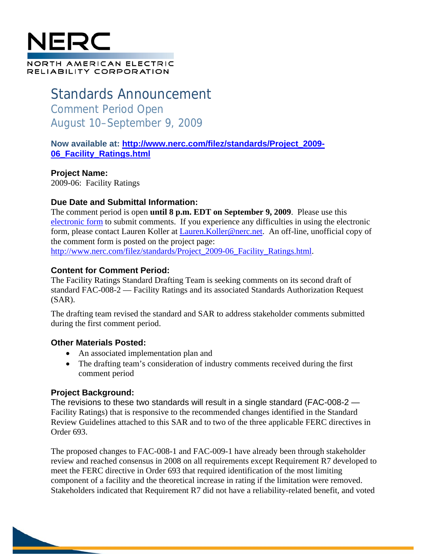## NERC NORTH AMERICAN ELECTRIC RELIABILITY CORPORATION

# Standards Announcement Comment Period Open August 10–September 9, 2009

**Now available at: http://www.nerc.com/filez/standards/Project\_2009- 06\_Facility\_Ratings.html**

**Project Name:** 2009-06: Facility Ratings

#### **Due Date and Submittal Information:**

The comment period is open **until 8 p.m. EDT on September 9, 2009**. Please use this electronic form to submit comments. If you experience any difficulties in using the electronic form, please contact Lauren Koller at Lauren. Koller@nerc.net. An off-line, unofficial copy of the comment form is posted on the project page: http://www.nerc.com/filez/standards/Project\_2009-06\_Facility\_Ratings.html.

#### **Content for Comment Period:**

The Facility Ratings Standard Drafting Team is seeking comments on its second draft of standard FAC-008-2 — Facility Ratings and its associated Standards Authorization Request (SAR).

The drafting team revised the standard and SAR to address stakeholder comments submitted during the first comment period.

#### **Other Materials Posted:**

- An associated implementation plan and
- The drafting team's consideration of industry comments received during the first comment period

### **Project Background:**

The revisions to these two standards will result in a single standard (FAC-008-2 — Facility Ratings) that is responsive to the recommended changes identified in the Standard Review Guidelines attached to this SAR and to two of the three applicable FERC directives in Order 693.

The proposed changes to FAC-008-1 and FAC-009-1 have already been through stakeholder review and reached consensus in 2008 on all requirements except Requirement R7 developed to meet the FERC directive in Order 693 that required identification of the most limiting component of a facility and the theoretical increase in rating if the limitation were removed. Stakeholders indicated that Requirement R7 did not have a reliability-related benefit, and voted